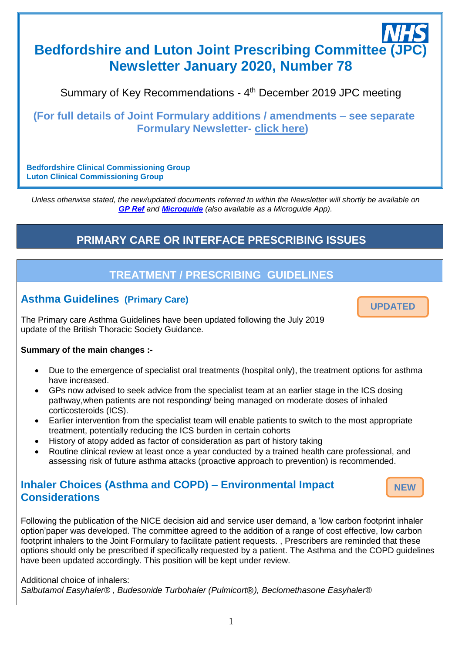# **Bedfordshire and Luton Joint Prescribing Committee (, Newsletter January 2020, Number 78**

**UPDATED**

**NEW**

## Summary of Key Recommendations - 4<sup>th</sup> December 2019 JPC meeting

**(For full details of Joint Formulary additions / amendments – see separate Formulary Newsletter- [click here\)](https://www.gpref.bedfordshire.nhs.uk/media/229659/formularynewsletterjan2020.pdf)**

**Bedfordshire Clinical Commissioning Group Luton Clinical Commissioning Group**

*Unless otherwise stated, the new/updated documents referred to within the Newsletter will shortly be available on [GP Ref](http://www.gpref.bedfordshire.nhs.uk/referrals/bedfordshire-and-luton-joint-prescribing-committee-(jpc).aspx) and [Microguide](https://cms.horizonsp.co.uk/viewer/bedsccg/clinicalguidelines) (also available as a Microguide App).*

## **PRIMARY CARE OR INTERFACE PRESCRIBING ISSUES**

## **TREATMENT / PRESCRIBING GUIDELINES** *28th November 2018*

## **Asthma Guidelines (Primary Care)**

The Primary care Asthma Guidelines have been updated following the July 2019 update of the British Thoracic Society Guidance.

### **Summary of the main changes :-**

- Due to the emergence of specialist oral treatments (hospital only), the treatment options for asthma have increased.
- GPs now advised to seek advice from the specialist team at an earlier stage in the ICS dosing pathway,when patients are not responding/ being managed on moderate doses of inhaled corticosteroids (ICS).
- Earlier intervention from the specialist team will enable patients to switch to the most appropriate treatment, potentially reducing the ICS burden in certain cohorts
- History of atopy added as factor of consideration as part of history taking
- Routine clinical review at least once a year conducted by a trained health care professional, and assessing risk of future asthma attacks (proactive approach to prevention) is recommended.

## **Inhaler Choices (Asthma and COPD) – Environmental Impact Considerations**

Following the publication of the NICE decision aid and service user demand, a 'low carbon footprint inhaler option'paper was developed. The committee agreed to the addition of a range of cost effective, low carbon footprint inhalers to the Joint Formulary to facilitate patient requests. , Prescribers are reminded that these options should only be prescribed if specifically requested by a patient. The Asthma and the COPD guidelines have been updated accordingly. This position will be kept under review.

#### Additional choice of inhalers:

*Salbutamol Easyhaler® , Budesonide Turbohaler (Pulmicort*®*), Beclomethasone Easyhaler®*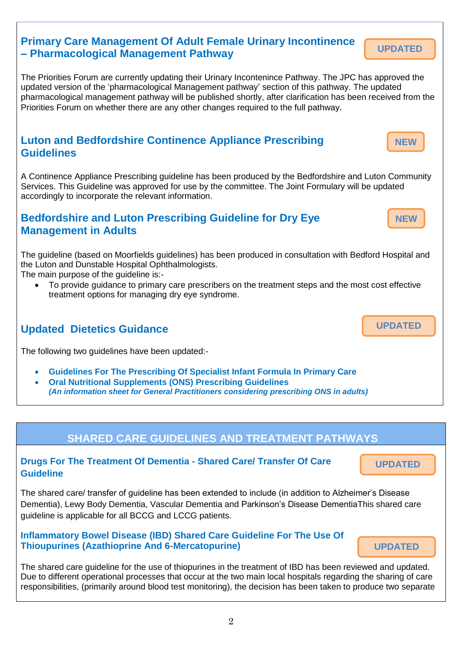### **Primary Care Management Of Adult Female Urinary Incontinence – Pharmacological Management Pathway**

The Priorities Forum are currently updating their Urinary Incontenince Pathway. The JPC has approved the updated version of the 'pharmacological Management pathway' section of this pathway. The updated pharmacological management pathway will be published shortly, after clarification has been received from the Priorities Forum on whether there are any other changes required to the full pathway.

## **Luton and Bedfordshire Continence Appliance Prescribing Guidelines**

A Continence Appliance Prescribing guideline has been produced by the Bedfordshire and Luton Community Services. This Guideline was approved for use by the committee. The Joint Formulary will be updated accordingly to incorporate the relevant information.

## **Bedfordshire and Luton Prescribing Guideline for Dry Eye Management in Adults**

The guideline (based on Moorfields guidelines) has been produced in consultation with Bedford Hospital and the Luton and Dunstable Hospital Ophthalmologists.

The main purpose of the guideline is:-

 To provide guidance to primary care prescribers on the treatment steps and the most cost effective treatment options for managing dry eye syndrome.

## **Updated Dietetics Guidance**

The following two guidelines have been updated:-

- **Guidelines For The Prescribing Of Specialist Infant Formula In Primary Care**
- **Oral Nutritional Supplements (ONS) Prescribing Guidelines**  *(An information sheet for General Practitioners considering prescribing ONS in adults)*

## **SHARED CARE GUIDELINES AND TREATMENT PATHWAYS**

### **Drugs For The Treatment Of Dementia - Shared Care/ Transfer Of Care Guideline**

The shared care/ transfer of guideline has been extended to include (in addition to Alzheimer's Disease Dementia), Lewy Body Dementia, Vascular Dementia and Parkinson's Disease DementiaThis shared care guideline is applicable for all BCCG and LCCG patients.

### **Inflammatory Bowel Disease (IBD) Shared Care Guideline For The Use Of Thioupurines (Azathioprine And 6-Mercatopurine)**

The shared care guideline for the use of thiopurines in the treatment of IBD has been reviewed and updated. Due to different operational processes that occur at the two main local hospitals regarding the sharing of care responsibilities, (primarily around blood test monitoring), the decision has been taken to produce two separate

**UPDATED**

**NEW**

**NEW**

**UPDATED**



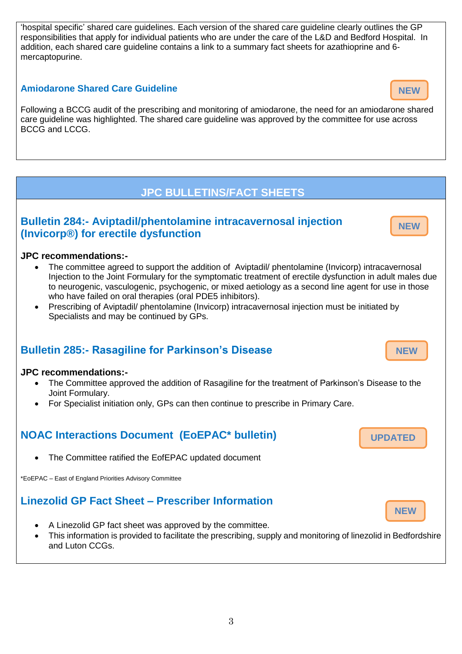'hospital specific' shared care guidelines. Each version of the shared care guideline clearly outlines the GP responsibilities that apply for individual patients who are under the care of the L&D and Bedford Hospital. In addition, each shared care guideline contains a link to a summary fact sheets for azathioprine and 6 mercaptopurine.

### **Amiodarone Shared Care Guideline**

Following a BCCG audit of the prescribing and monitoring of amiodarone, the need for an amiodarone shared care guideline was highlighted. The shared care guideline was approved by the committee for use across BCCG and LCCG.

## **JPC BULLETINS/FACT SHEETS**

## **Bulletin 284:- Aviptadil/phentolamine intracavernosal injection (Invicorp®) for erectile dysfunction**

### **JPC recommendations:-**

- The committee agreed to support the addition of Aviptadil/ phentolamine (Invicorp) intracavernosal Injection to the Joint Formulary for the symptomatic treatment of erectile dysfunction in adult males due to neurogenic, vasculogenic, psychogenic, or mixed aetiology as a second line agent for use in those who have failed on oral therapies (oral PDE5 inhibitors).
- Prescribing of Aviptadil/ phentolamine (Invicorp) intracavernosal injection must be initiated by Specialists and may be continued by GPs.

## **Bulletin 285:- Rasagiline for Parkinson's Disease**

### **JPC recommendations:-**

- The Committee approved the addition of Rasagiline for the treatment of Parkinson's Disease to the Joint Formulary.
- For Specialist initiation only, GPs can then continue to prescribe in Primary Care.

## **NOAC Interactions Document (EoEPAC\* bulletin)**

The Committee ratified the EofEPAC updated document

\*EoEPAC – East of England Priorities Advisory Committee

## **Linezolid GP Fact Sheet – Prescriber Information**

- A Linezolid GP fact sheet was approved by the committee.
- This information is provided to facilitate the prescribing, supply and monitoring of linezolid in Bedfordshire and Luton CCGs.





**NEW**



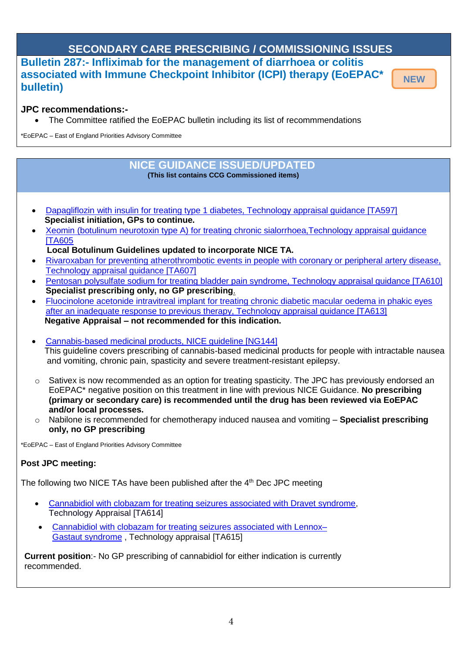## **SECONDARY CARE PRESCRIBING / COMMISSIONING ISSUES**

**NEW**

**Bulletin 287:- Infliximab for the management of diarrhoea or colitis associated with Immune Checkpoint Inhibitor (ICPI) therapy (EoEPAC\* bulletin)**

#### **JPC recommendations:-**

The Committee ratified the EoEPAC bulletin including its list of recommmendations

\*EoEPAC – East of England Priorities Advisory Committee

#### **NICE GUIDANCE ISSUED/UPDATED (This list contains CCG Commissioned items)**

- Dapagliflozin [with insulin for treating type 1 diabetes, Technology appraisal guidance \[TA597\]](https://www.nice.org.uk/guidance/ta597)  **Specialist initiation, GPs to continue.**
- Xeomin (botulinum neurotoxin type A) for treating chronic sialorrhoea, Technology appraisal guidance [\[TA605](file:///C:/Users/mcgroartys/Desktop/dec%2019/%5d%20https:/www.nice.org.uk/guidance/ta605)
	- **Local Botulinum Guidelines updated to incorporate NICE TA.**
- [Rivaroxaban for preventing atherothrombotic events in people with coronary or peripheral artery disease,](https://www.nice.org.uk/guidance/ta607)  [Technology appraisal guidance \[TA607\]](https://www.nice.org.uk/guidance/ta607)
- Pentosan polysulfate [sodium for treating bladder pain syndrome, Technology appraisal guidance \[TA610\]](https://www.nice.org.uk/guidance/ta610) **Specialist prescribing only, no GP prescribing**.
- Fluocinolone acetonide intravitreal [implant for treating chronic diabetic macular oedema in phakic eyes](https://www.nice.org.uk/guidance/ta613)  [after an inadequate response to previous therapy, Technology appraisal guidance \[TA613\]](https://www.nice.org.uk/guidance/ta613) **Negative Appraisal – not recommended for this indication.**
- [Cannabis-based medicinal products, NICE guideline \[NG144\]](file:///C:/Users/mcgroartys/Desktop/dec%2019/•%09https:/www.nice.org.uk/guidance/ng144) This guideline covers prescribing of cannabis-based medicinal products for people with intractable nausea and vomiting, chronic pain, spasticity and severe treatment-resistant epilepsy.
- o Sativex is now recommended as an option for treating spasticity. The JPC has previously endorsed an EoEPAC\* negative position on this treatment in line with previous NICE Guidance. **No prescribing (primary or secondary care) is recommended until the drug has been reviewed via EoEPAC and/or local processes.**
- o Nabilone is recommended for chemotherapy induced nausea and vomiting **Specialist prescribing only, no GP prescribing**

\*EoEPAC – East of England Priorities Advisory Committee

### **Post JPC meeting:**

The following two NICE TAs have been published after the  $4<sup>th</sup>$  Dec JPC meeting

- [Cannabidiol with clobazam for treating seizures associated with Dravet syndrome,](https://www.nice.org.uk/guidance/ta614) Technology Appraisal [TA614]
- Cannabidiol with clobazam [for treating seizures associated with Lennox–](https://www.nice.org.uk/guidance/ta615) [Gastaut syndrome](https://www.nice.org.uk/guidance/ta615) , Technology appraisal [TA615]

**Current position**:- No GP prescribing of cannabidiol for either indication is currently recommended.